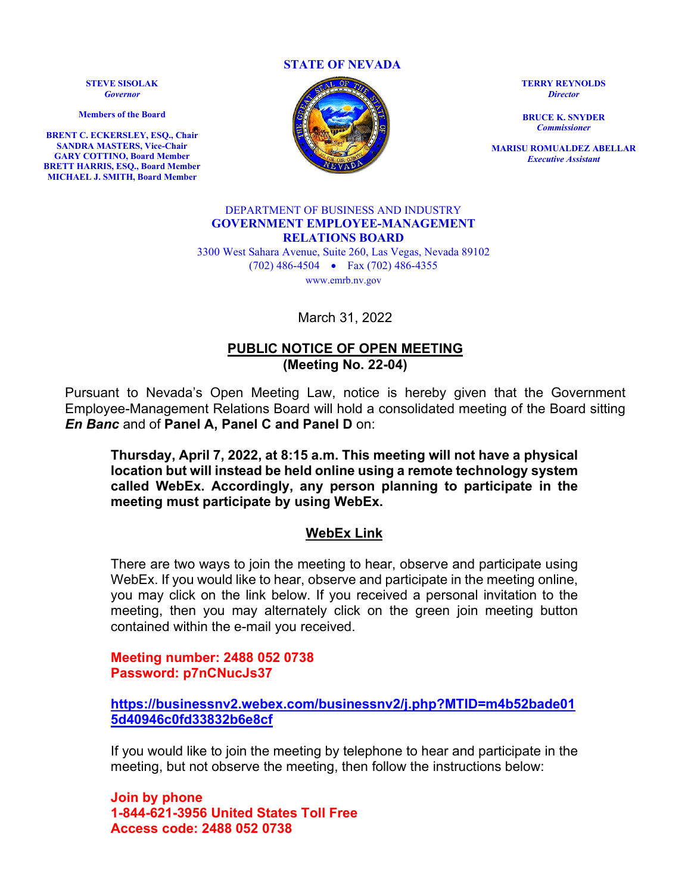**STATE OF NEVADA**

**STEVE SISOLAK** *Governor*

**Members of the Board**

**BRENT C. ECKERSLEY, ESQ., Chair SANDRA MASTERS, Vice-Chair GARY COTTINO, Board Member BRETT HARRIS, ESQ., Board Member MICHAEL J. SMITH, Board Member**



**TERRY REYNOLDS** *Director*

**BRUCE K. SNYDER** *Commissioner*

**MARISU ROMUALDEZ ABELLAR** *Executive Assistant*

### DEPARTMENT OF BUSINESS AND INDUSTRY **GOVERNMENT EMPLOYEE-MANAGEMENT RELATIONS BOARD**

3300 West Sahara Avenue, Suite 260, Las Vegas, Nevada 89102 (702) 486-4504 • Fax (702) 486-4355 www.emrb.nv.gov

March 31, 2022

# **PUBLIC NOTICE OF OPEN MEETING (Meeting No. 22-04)**

Pursuant to Nevada's Open Meeting Law, notice is hereby given that the Government Employee-Management Relations Board will hold a consolidated meeting of the Board sitting *En Banc* and of **Panel A, Panel C and Panel D** on:

**Thursday, April 7, 2022, at 8:15 a.m. This meeting will not have a physical location but will instead be held online using a remote technology system called WebEx. Accordingly, any person planning to participate in the meeting must participate by using WebEx.** 

# **WebEx Link**

There are two ways to join the meeting to hear, observe and participate using WebEx. If you would like to hear, observe and participate in the meeting online, you may click on the link below. If you received a personal invitation to the meeting, then you may alternately click on the green join meeting button contained within the e-mail you received.

**Meeting number: 2488 052 0738 Password: p7nCNucJs37**

**[https://businessnv2.webex.com/businessnv2/j.php?MTID=m4b52bade01](https://businessnv2.webex.com/businessnv2/j.php?MTID=m4b52bade015d40946c0fd33832b6e8cf) [5d40946c0fd33832b6e8cf](https://businessnv2.webex.com/businessnv2/j.php?MTID=m4b52bade015d40946c0fd33832b6e8cf)**

If you would like to join the meeting by telephone to hear and participate in the meeting, but not observe the meeting, then follow the instructions below:

**Join by phone 1-844-621-3956 United States Toll Free Access code: 2488 052 0738**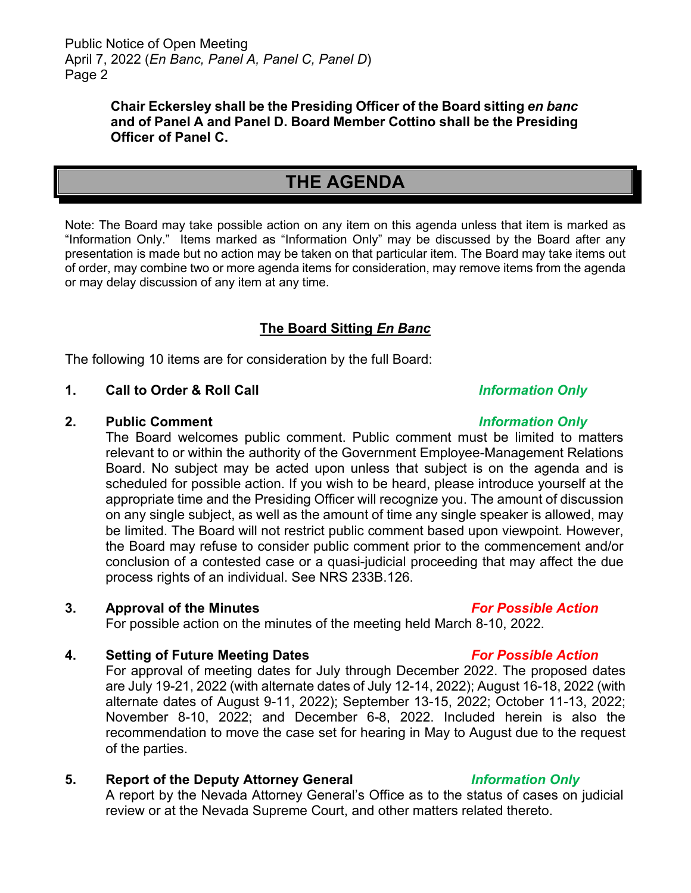# **Chair Eckersley shall be the Presiding Officer of the Board sitting** *en banc* **and of Panel A and Panel D. Board Member Cottino shall be the Presiding Officer of Panel C.**

# **THE AGENDA**

Note: The Board may take possible action on any item on this agenda unless that item is marked as "Information Only." Items marked as "Information Only" may be discussed by the Board after any presentation is made but no action may be taken on that particular item. The Board may take items out of order, may combine two or more agenda items for consideration, may remove items from the agenda or may delay discussion of any item at any time.

# **The Board Sitting** *En Banc*

The following 10 items are for consideration by the full Board:

# **1. Call to Order & Roll Call** *Information Only*

### **2. Public Comment** *Information Only*

The Board welcomes public comment. Public comment must be limited to matters relevant to or within the authority of the Government Employee-Management Relations Board. No subject may be acted upon unless that subject is on the agenda and is scheduled for possible action. If you wish to be heard, please introduce yourself at the appropriate time and the Presiding Officer will recognize you. The amount of discussion on any single subject, as well as the amount of time any single speaker is allowed, may be limited. The Board will not restrict public comment based upon viewpoint. However, the Board may refuse to consider public comment prior to the commencement and/or conclusion of a contested case or a quasi-judicial proceeding that may affect the due process rights of an individual. See NRS 233B.126.

**3. Approval of the Minutes** *For Possible Action*

For possible action on the minutes of the meeting held March 8-10, 2022.

# **4. Setting of Future Meeting Dates** *For Possible Action*

For approval of meeting dates for July through December 2022. The proposed dates are July 19-21, 2022 (with alternate dates of July 12-14, 2022); August 16-18, 2022 (with alternate dates of August 9-11, 2022); September 13-15, 2022; October 11-13, 2022; November 8-10, 2022; and December 6-8, 2022. Included herein is also the recommendation to move the case set for hearing in May to August due to the request of the parties.

# **5. Report of the Deputy Attorney General** *Information Only*

A report by the Nevada Attorney General's Office as to the status of cases on judicial review or at the Nevada Supreme Court, and other matters related thereto.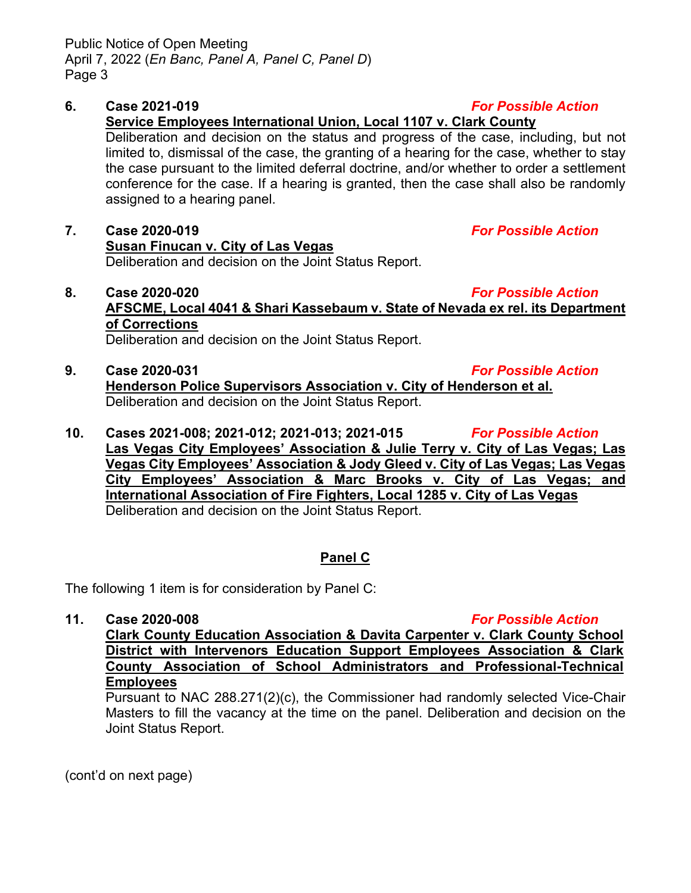# **Service Employees International Union, Local 1107 v. Clark County**

Deliberation and decision on the status and progress of the case, including, but not limited to, dismissal of the case, the granting of a hearing for the case, whether to stay the case pursuant to the limited deferral doctrine, and/or whether to order a settlement conference for the case. If a hearing is granted, then the case shall also be randomly assigned to a hearing panel.

# **7. Case 2020-019** *For Possible Action* **Susan Finucan v. City of Las Vegas** Deliberation and decision on the Joint Status Report.

# **8. Case 2020-020** *For Possible Action* **AFSCME, Local 4041 & Shari Kassebaum v. State of Nevada ex rel. its Department of Corrections**

Deliberation and decision on the Joint Status Report.

- **9. Case 2020-031** *For Possible Action* **Henderson Police Supervisors Association v. City of Henderson et al.** Deliberation and decision on the Joint Status Report.
- **10. Cases 2021-008; 2021-012; 2021-013; 2021-015** *For Possible Action* **Las Vegas City Employees' Association & Julie Terry v. City of Las Vegas; Las Vegas City Employees' Association & Jody Gleed v. City of Las Vegas; Las Vegas City Employees' Association & Marc Brooks v. City of Las Vegas; and International Association of Fire Fighters, Local 1285 v. City of Las Vegas** Deliberation and decision on the Joint Status Report.

# **Panel C**

The following 1 item is for consideration by Panel C:

- 
- **11. Case 2020-008** *For Possible Action* **Clark County Education Association & Davita Carpenter v. Clark County School District with Intervenors Education Support Employees Association & Clark County Association of School Administrators and Professional-Technical Employees**

# Pursuant to NAC 288.271(2)(c), the Commissioner had randomly selected Vice-Chair Masters to fill the vacancy at the time on the panel. Deliberation and decision on the Joint Status Report.

(cont'd on next page)

**6. Case 2021-019** *For Possible Action*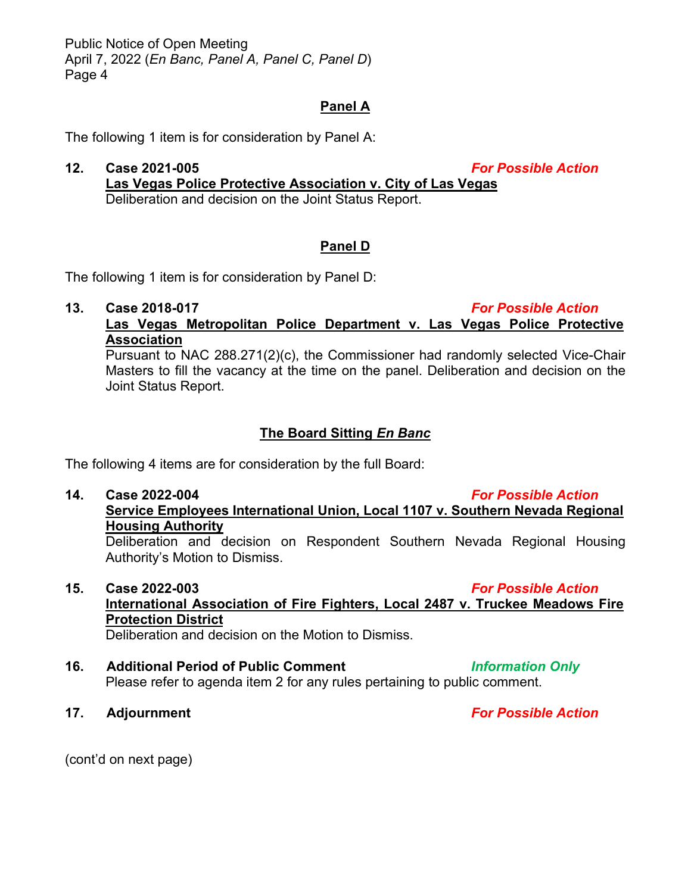Public Notice of Open Meeting April 7, 2022 (*En Banc, Panel A, Panel C, Panel D*) Page 4

# **Panel A**

The following 1 item is for consideration by Panel A:

**12. Case 2021-005** *For Possible Action* **Las Vegas Police Protective Association v. City of Las Vegas**  Deliberation and decision on the Joint Status Report.

# **Panel D**

The following 1 item is for consideration by Panel D:

# **13. Case 2018-017** *For Possible Action*

# **Las Vegas Metropolitan Police Department v. Las Vegas Police Protective Association**

Pursuant to NAC 288.271(2)(c), the Commissioner had randomly selected Vice-Chair Masters to fill the vacancy at the time on the panel. Deliberation and decision on the Joint Status Report.

# **The Board Sitting** *En Banc*

The following 4 items are for consideration by the full Board:

# **14. Case 2022-004** *For Possible Action*

**Service Employees International Union, Local 1107 v. Southern Nevada Regional Housing Authority** 

Deliberation and decision on Respondent Southern Nevada Regional Housing Authority's Motion to Dismiss.

**15. Case 2022-003** *For Possible Action* **International Association of Fire Fighters, Local 2487 v. Truckee Meadows Fire Protection District** 

Deliberation and decision on the Motion to Dismiss.

- **16. Additional Period of Public Comment** *Information Only* Please refer to agenda item 2 for any rules pertaining to public comment.
- **17. Adjournment** *For Possible Action*

(cont'd on next page)